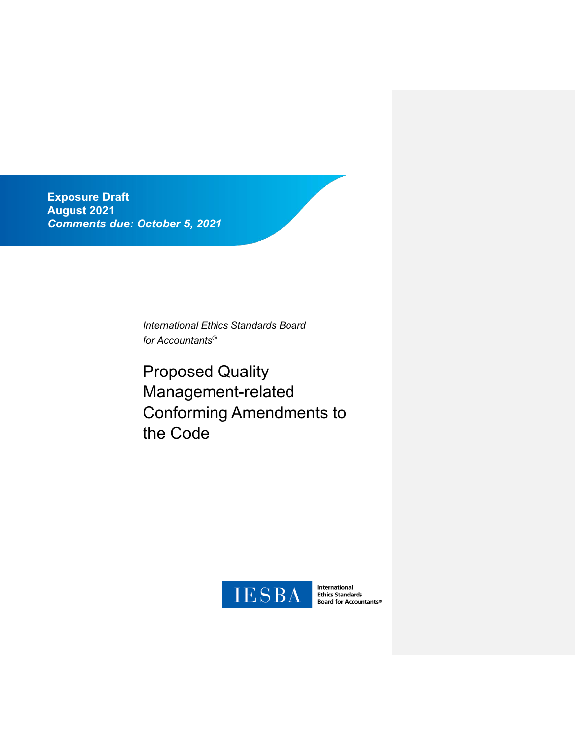**Exposure Draft August 2021** *Comments due: October 5, 2021*

> *International Ethics Standards Board for Accountants®*

Proposed Quality Management-related Conforming Amendments to the Code



International<br>Ethics Standards<br>Board for Accountants®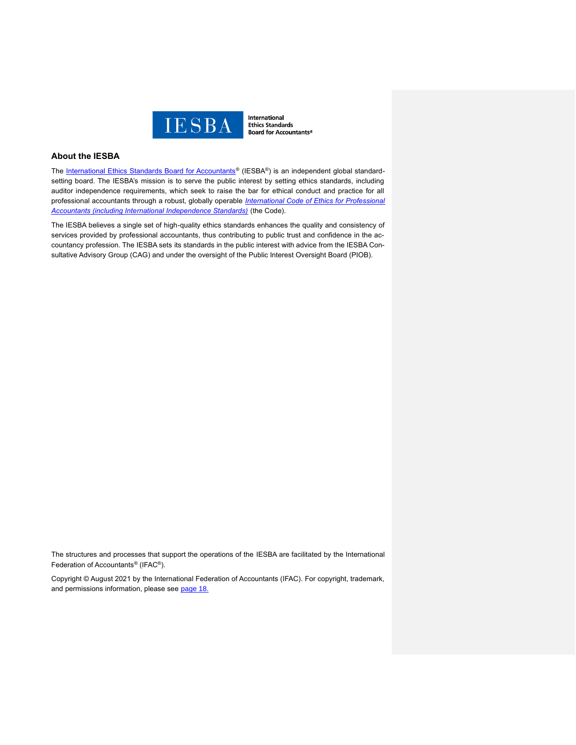

International **Ethics Standards Board for Accountants®** 

# **About the IESBA**

The [International Ethics Standards Board for Accountants](http://www.ethicsboard.org/)<sup>®</sup> (IESBA®) is an independent global standardsetting board. The IESBA's mission is to serve the public interest by setting ethics standards, including auditor independence requirements, which seek to raise the bar for ethical conduct and practice for all professional accountants through a robust, globally operable *[International Code of Ethics for Professional](https://www.ethicsboard.org/international-code-ethics-professional-accountants)  [Accountants \(including International Independence Standards\)](https://www.ethicsboard.org/international-code-ethics-professional-accountants)* (the Code).

The IESBA believes a single set of high-quality ethics standards enhances the quality and consistency of services provided by professional accountants, thus contributing to public trust and confidence in the accountancy profession. The IESBA sets its standards in the public interest with advice from the IESBA Consultative Advisory Group (CAG) and under the oversight of the Public Interest Oversight Board (PIOB).

The structures and processes that support the operations of the IESBA are facilitated by the International Federation of Accountants® (IFAC®).

Copyright © August 2021 by the International Federation of Accountants (IFAC). For copyright, trademark, and permissions information, please see [page 18.](#page-17-0)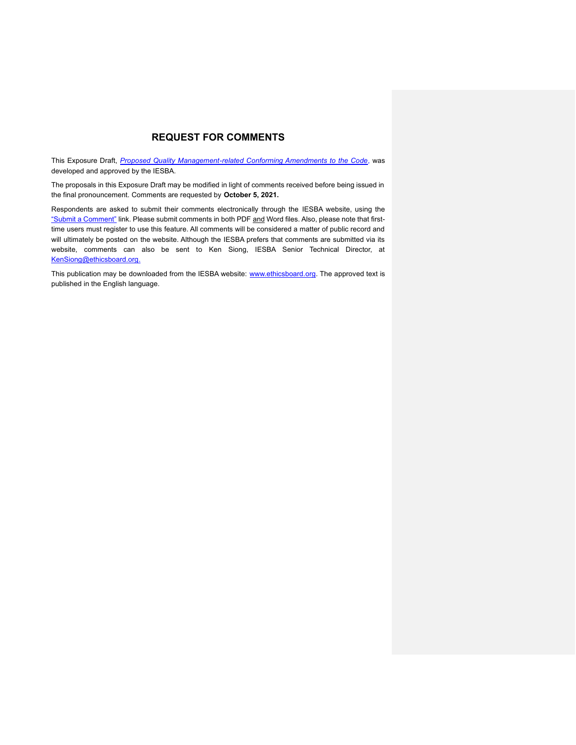# **REQUEST FOR COMMENTS**

This Exposure Draft, *[Proposed Quality Management-related Conforming Amendments to the Code](https://www.ethicsboard.org/publications/proposed-quality-management-related-conforming-amendments-code)*, was developed and approved by the IESBA.

The proposals in this Exposure Draft may be modified in light of comments received before being issued in the final pronouncement. Comments are requested by **October 5, 2021.**

Respondents are asked to submit their comments electronically through the IESBA website, using the ["Submit a Comment"](https://www.ethicsboard.org/exposure-draft/submit-comment?exposure-draft=290120) link. Please submit comments in both PDF and Word files. Also, please note that firsttime users must register to use this feature. All comments will be considered a matter of public record and will ultimately be posted on the website. Although the IESBA prefers that comments are submitted via its website, comments can also be sent to Ken Siong, IESBA Senior Technical Director, at [KenSiong@ethicsboard.org.](mailto:KenSiong@ethicsboard.org)

This publication may be downloaded from the IESBA website: [www.ethicsboard.org.](http://www.ethicsboard.org/) The approved text is published in the English language.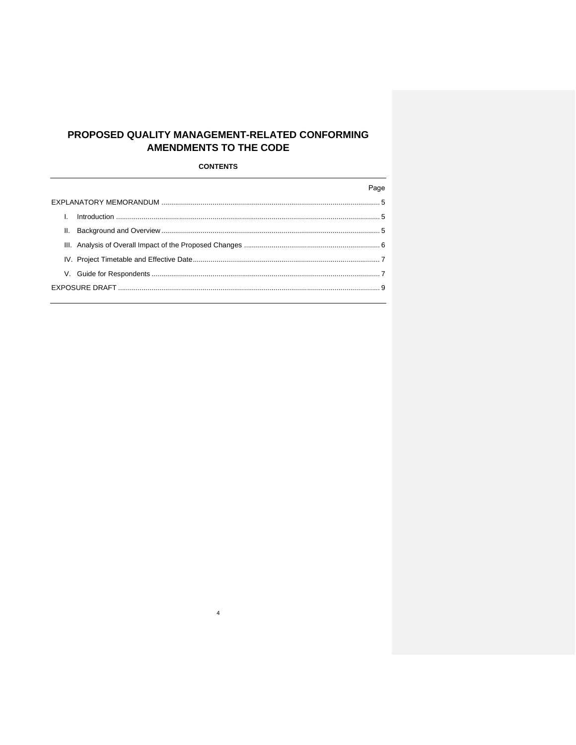# PROPOSED QUALITY MANAGEMENT-RELATED CONFORMING **AMENDMENTS TO THE CODE**

**CONTENTS** 

|    | Page |
|----|------|
|    |      |
| L. |      |
|    |      |
|    |      |
|    |      |
|    |      |
|    |      |
|    |      |

 $\overline{4}$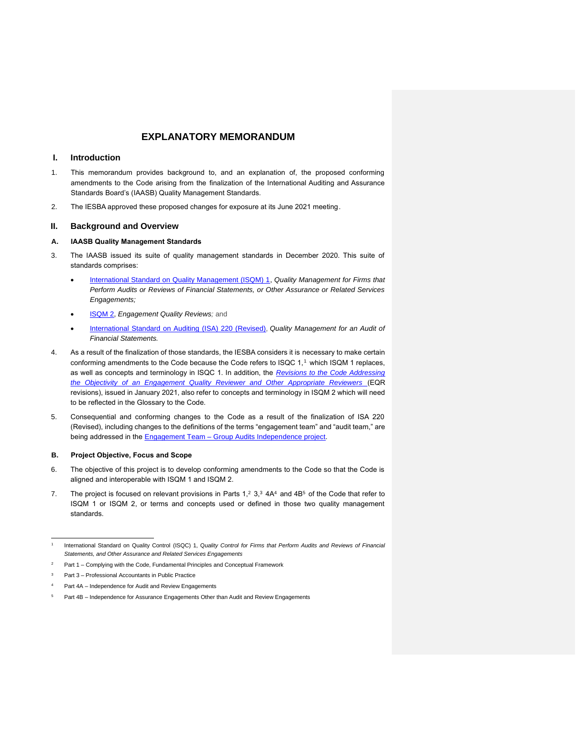## <span id="page-4-1"></span><span id="page-4-0"></span>**I. Introduction**

- <span id="page-4-2"></span>1. This memorandum provides background to, and an explanation of, the proposed conforming amendments to the Code arising from the finalization of the International Auditing and Assurance Standards Board's (IAASB) Quality Management Standards.
- 2. The IESBA approved these proposed changes for exposure at its June 2021 meeting.

## **II. Background and Overview**

### **A. IAASB Quality Management Standards**

- 3. The IAASB issued its suite of quality management standards in December 2020. This suite of standards comprises:
	- [International Standard on Quality Management \(ISQM\) 1,](https://www.iaasb.org/publications/international-standard-quality-management-isqm-1-quality-management-firms-perform-audits-or-reviews) *Quality Management for Firms that Perform Audits or Reviews of Financial Statements, or Other Assurance or Related Services Engagements;*
	- [ISQM 2,](https://www.iaasb.org/publications/international-standard-quality-management-isqm-2-enhancing-quality-reviews) *Engagement Quality Reviews;* and
	- [International Standard on Auditing \(ISA\) 220 \(Revised\),](https://www.iaasb.org/publications/international-standard-auditing-220-revised-quality-management-audit-financial-statements) *Quality Management for an Audit of Financial Statements.*
- 4. As a result of the finalization of those standards, the IESBA considers it is necessary to make certain conforming amendments to the Code because the Code refers to ISQC 1,<sup>1</sup> which ISQM 1 replaces, as well as concepts and terminology in ISQC 1. In addition, the *[Revisions to the Code Addressing](https://www.ethicsboard.org/publications/final-pronouncement-objectivity-engagement-quality-reviewer-and-other-appropriate-reviewers)  [the Objectivity of an Engagement Quality Reviewer and Other Appropriate Reviewers](https://www.ethicsboard.org/publications/final-pronouncement-objectivity-engagement-quality-reviewer-and-other-appropriate-reviewers)* (EQR revisions), issued in January 2021, also refer to concepts and terminology in ISQM 2 which will need to be reflected in the Glossary to the Code.
- 5. Consequential and conforming changes to the Code as a result of the finalization of ISA 220 (Revised), including changes to the definitions of the terms "engagement team" and "audit team," are being addressed in the **Engagement Team - Group Audits Independence project**.

### **B. Project Objective, Focus and Scope**

- 6. The objective of this project is to develop conforming amendments to the Code so that the Code is aligned and interoperable with ISQM 1 and ISQM 2.
- 7. The project is focused on relevant provisions in Parts  $1,2,3,3$  4A4 and 4B<sup>5</sup> of the Code that refer to ISQM 1 or ISQM 2, or terms and concepts used or defined in those two quality management standards.

<sup>1</sup> International Standard on Quality Control (ISQC) 1, Q*uality Control for Firms that Perform Audits and Reviews of Financial Statements, and Other Assurance and Related Services Engagements*

Part 1 – Complying with the Code, Fundamental Principles and Conceptual Framework

<sup>3</sup> Part 3 – Professional Accountants in Public Practice

Part 4A – Independence for Audit and Review Engagements

Part 4B – Independence for Assurance Engagements Other than Audit and Review Engagements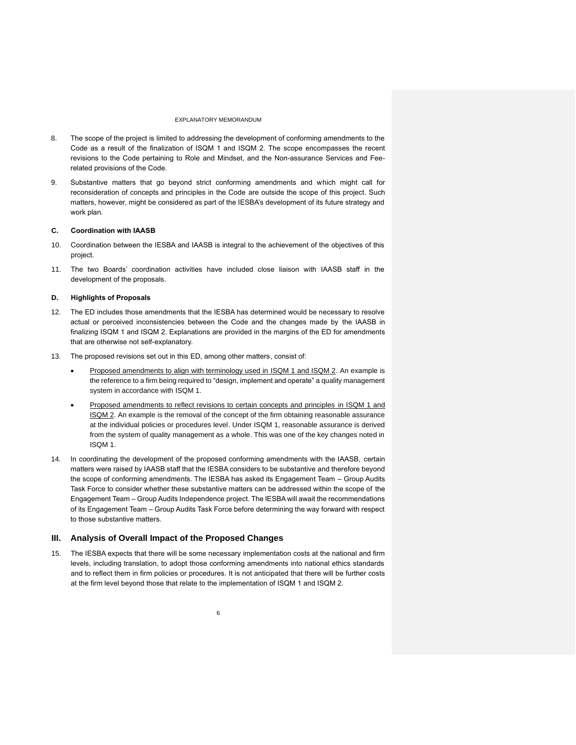- 8. The scope of the project is limited to addressing the development of conforming amendments to the Code as a result of the finalization of ISQM 1 and ISQM 2. The scope encompasses the recent revisions to the Code pertaining to Role and Mindset, and the Non-assurance Services and Feerelated provisions of the Code.
- 9. Substantive matters that go beyond strict conforming amendments and which might call for reconsideration of concepts and principles in the Code are outside the scope of this project. Such matters, however, might be considered as part of the IESBA's development of its future strategy and work plan.

#### **C. Coordination with IAASB**

- 10. Coordination between the IESBA and IAASB is integral to the achievement of the objectives of this project.
- 11. The two Boards' coordination activities have included close liaison with IAASB staff in the development of the proposals.

#### **D. Highlights of Proposals**

- 12. The ED includes those amendments that the IESBA has determined would be necessary to resolve actual or perceived inconsistencies between the Code and the changes made by the IAASB in finalizing ISQM 1 and ISQM 2. Explanations are provided in the margins of the ED for amendments that are otherwise not self-explanatory.
- 13. The proposed revisions set out in this ED, among other matters, consist of:
	- Proposed amendments to align with terminology used in ISQM 1 and ISQM 2. An example is the reference to a firm being required to "design, implement and operate" a quality management system in accordance with ISQM 1.
	- Proposed amendments to reflect revisions to certain concepts and principles in ISQM 1 and ISQM 2. An example is the removal of the concept of the firm obtaining reasonable assurance at the individual policies or procedures level. Under ISQM 1, reasonable assurance is derived from the system of quality management as a whole. This was one of the key changes noted in ISQM 1.
- 14. In coordinating the development of the proposed conforming amendments with the IAASB, certain matters were raised by IAASB staff that the IESBA considers to be substantive and therefore beyond the scope of conforming amendments. The IESBA has asked its Engagement Team – Group Audits Task Force to consider whether these substantive matters can be addressed within the scope of the Engagement Team – Group Audits Independence project. The IESBA will await the recommendations of its Engagement Team – Group Audits Task Force before determining the way forward with respect to those substantive matters.

#### <span id="page-5-0"></span>**III. Analysis of Overall Impact of the Proposed Changes**

15. The IESBA expects that there will be some necessary implementation costs at the national and firm levels, including translation, to adopt those conforming amendments into national ethics standards and to reflect them in firm policies or procedures. It is not anticipated that there will be further costs at the firm level beyond those that relate to the implementation of ISQM 1 and ISQM 2.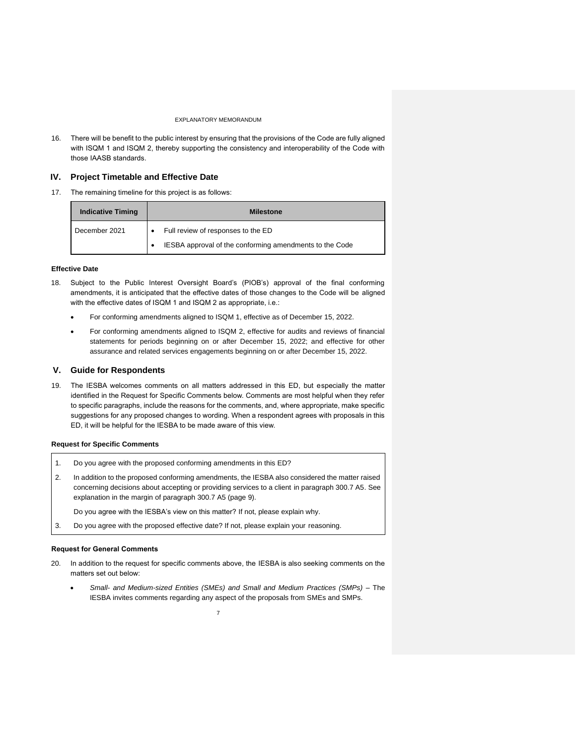16. There will be benefit to the public interest by ensuring that the provisions of the Code are fully aligned with ISQM 1 and ISQM 2, thereby supporting the consistency and interoperability of the Code with those IAASB standards.

#### <span id="page-6-0"></span>**IV. Project Timetable and Effective Date**

17. The remaining timeline for this project is as follows:

| <b>Indicative Timing</b> | <b>Milestone</b> |                                                         |
|--------------------------|------------------|---------------------------------------------------------|
| December 2021            |                  | Full review of responses to the ED                      |
|                          |                  | IESBA approval of the conforming amendments to the Code |

### **Effective Date**

- 18. Subject to the Public Interest Oversight Board's (PIOB's) approval of the final conforming amendments, it is anticipated that the effective dates of those changes to the Code will be aligned with the effective dates of ISQM 1 and ISQM 2 as appropriate, i.e.:
	- For conforming amendments aligned to ISQM 1, effective as of December 15, 2022.
	- For conforming amendments aligned to ISQM 2, effective for audits and reviews of financial statements for periods beginning on or after December 15, 2022; and effective for other assurance and related services engagements beginning on or after December 15, 2022.

#### <span id="page-6-1"></span>**V. Guide for Respondents**

19. The IESBA welcomes comments on all matters addressed in this ED, but especially the matter identified in the Request for Specific Comments below. Comments are most helpful when they refer to specific paragraphs, include the reasons for the comments, and, where appropriate, make specific suggestions for any proposed changes to wording. When a respondent agrees with proposals in this ED, it will be helpful for the IESBA to be made aware of this view.

#### **Request for Specific Comments**

- 1. Do you agree with the proposed conforming amendments in this ED?
- 2. In addition to the proposed conforming amendments, the IESBA also considered the matter raised concerning decisions about accepting or providing services to a client in paragraph 300.7 A5. See explanation in the margin of paragraph 300.7 A5 (page 9).
	- Do you agree with the IESBA's view on this matter? If not, please explain why.
- 3. Do you agree with the proposed effective date? If not, please explain your reasoning.

#### **Request for General Comments**

- 20. In addition to the request for specific comments above, the IESBA is also seeking comments on the matters set out below:
	- *Small- and Medium-sized Entities (SMEs) and Small and Medium Practices (SMPs) –* The IESBA invites comments regarding any aspect of the proposals from SMEs and SMPs.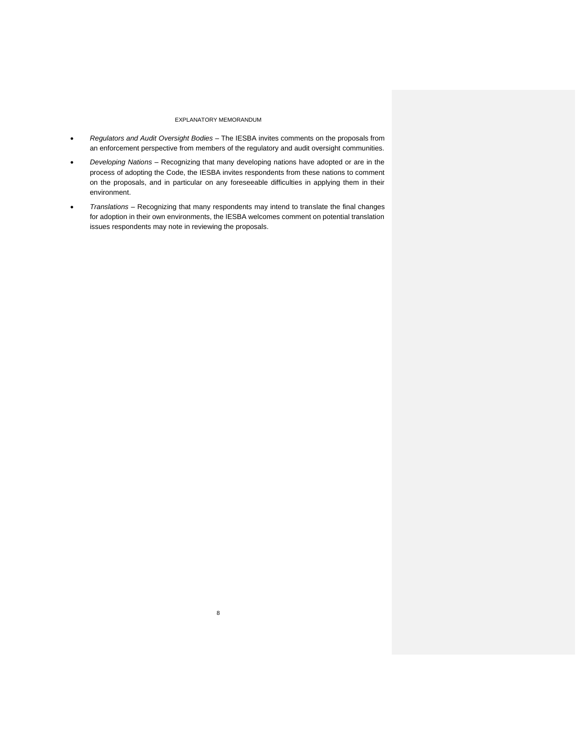- *Regulators and Audit Oversight Bodies –* The IESBA invites comments on the proposals from an enforcement perspective from members of the regulatory and audit oversight communities.
- *Developing Nations –* Recognizing that many developing nations have adopted or are in the process of adopting the Code, the IESBA invites respondents from these nations to comment on the proposals, and in particular on any foreseeable difficulties in applying them in their environment.
- <span id="page-7-0"></span>• *Translations –* Recognizing that many respondents may intend to translate the final changes for adoption in their own environments, the IESBA welcomes comment on potential translation issues respondents may note in reviewing the proposals.

8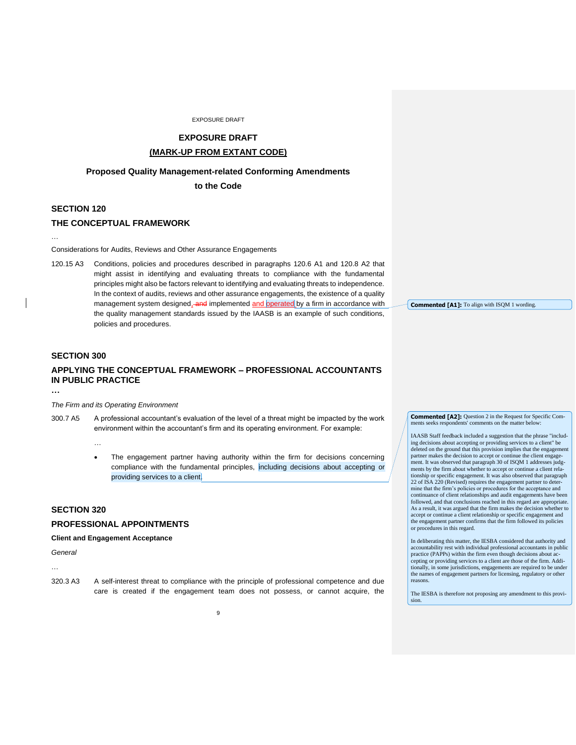# **EXPOSURE DRAFT**

# **(MARK-UP FROM EXTANT CODE)**

## **Proposed Quality Management-related Conforming Amendments**

**to the Code**

# **SECTION 120**

…

### **THE CONCEPTUAL FRAMEWORK**

Considerations for Audits, Reviews and Other Assurance Engagements

120.15 A3 Conditions, policies and procedures described in paragraphs 120.6 A1 and 120.8 A2 that might assist in identifying and evaluating threats to compliance with the fundamental principles might also be factors relevant to identifying and evaluating threats to independence. In the context of audits, reviews and other assurance engagements, the existence of a quality management system designed, and implemented and operated by a firm in accordance with the quality management standards issued by the IAASB is an example of such conditions, policies and procedures.

# **SECTION 300**

# **APPLYING THE CONCEPTUAL FRAMEWORK – PROFESSIONAL ACCOUNTANTS IN PUBLIC PRACTICE**

**…**

#### *The Firm and its Operating Environment*

300.7 A5 A professional accountant's evaluation of the level of a threat might be impacted by the work environment within the accountant's firm and its operating environment. For example:

…

The engagement partner having authority within the firm for decisions concerning compliance with the fundamental principles, including decisions about accepting or providing services to a client.

# **SECTION 320**

## **PROFESSIONAL APPOINTMENTS**

#### **Client and Engagement Acceptance**

*General*

…

- 
- 320.3 A3 A self-interest threat to compliance with the principle of professional competence and due care is created if the engagement team does not possess, or cannot acquire, the

**Commented [A1]:** To align with ISQM 1 wording.

**Commented [A2]:** Question 2 in the Request for Specific Com-<br>ments seeks respondents' comments on the matter below: indents' comments on the matter below

IAASB Staff feedback included a suggestion that the phrase "including decisions about accepting or providing services to a client" be deleted on the ground that this provision implies that the engagement partner makes the decision to accept or continue the client engagement. It was observed that paragraph 30 of ISQM 1 addresses judgments by the firm about whether to accept or continue a client relationship or specific engagement. It was also observed that paragraph 22 of ISA 220 (Revised) requires the engagement partner to determine that the firm's policies or procedures for the acceptance and continuance of client relationships and audit engagements have been followed, and that conclusions reached in this regard are appropriate. As a result, it was argued that the firm makes the decision whether to accept or continue a client relationship or specific engagement and the engagement partner confirms that the firm followed its policies or procedures in this regard.

In deliberating this matter, the IESBA considered that authority and accountability rest with individual professional accountants in public practice (PAPPs) within the firm even though decisions about accepting or providing services to a client are those of the firm. Additionally, in some jurisdictions, engagements are required to be under the names of engagement partners for licensing, regulatory or other reasons.

The IESBA is therefore not proposing any amendment to this provision.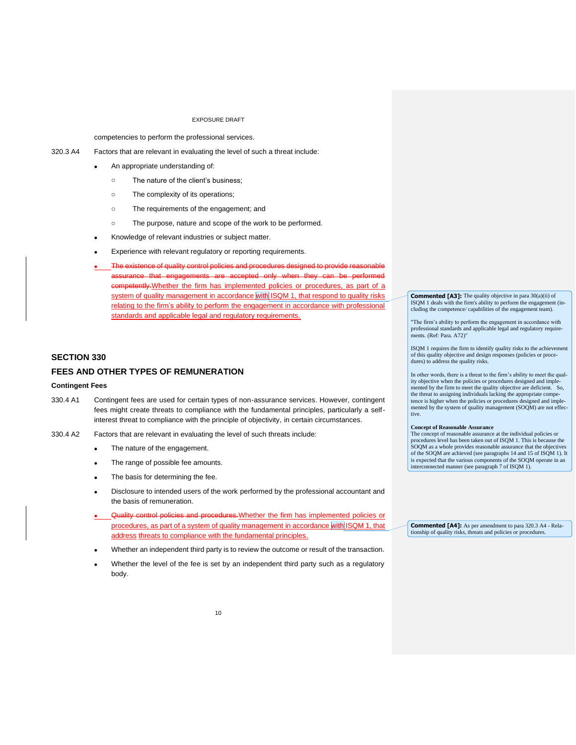competencies to perform the professional services.

320.3 A4 Factors that are relevant in evaluating the level of such a threat include:

- An appropriate understanding of:
	- o The nature of the client's business;
	- o The complexity of its operations;
	- o The requirements of the engagement; and
	- o The purpose, nature and scope of the work to be performed.
- Knowledge of relevant industries or subject matter.
- Experience with relevant regulatory or reporting requirements.
- The existence of quality control policies and procedures designed to provide reasonable accepted only when they can be perfor competently. Whether the firm has implemented policies or procedures, as part of a system of quality management in accordance with ISQM 1, that respond to quality risks relating to the firm's ability to perform the engagement in accordance with professional standards and applicable legal and regulatory requirements.

## **SECTION 330**

## **FEES AND OTHER TYPES OF REMUNERATION**

#### **Contingent Fees**

- 330.4 A1 Contingent fees are used for certain types of non-assurance services. However, contingent fees might create threats to compliance with the fundamental principles, particularly a selfinterest threat to compliance with the principle of objectivity, in certain circumstances.
- 330.4 A2 Factors that are relevant in evaluating the level of such threats include:
	- The nature of the engagement.
	- The range of possible fee amounts.
	- The basis for determining the fee.
	- Disclosure to intended users of the work performed by the professional accountant and the basis of remuneration.
	- eontrol policies and procedures. Whether the firm has implemented policies or procedures, as part of a system of quality management in accordance with ISQM 1, that address threats to compliance with the fundamental principles.
	- Whether an independent third party is to review the outcome or result of the transaction.
	- Whether the level of the fee is set by an independent third party such as a regulatory body.

**Commented [A3]:** The quality objective in para 30(a)(ii) of ISQM 1 deals with the firm's ability to perform the engagement (including the competence/ capabilities of the engagement team).

"The firm's ability to perform the engagement in accordance with professional standards and applicable legal and regulatory require-ments. (Ref: Para. A72)"

ISQM 1 requires the firm to identify quality risks to the achievement of this quality objective and design responses (policies or procedures) to address the quality risks.

In other words, there is a threat to the firm's ability to meet the quality objective when the policies or procedures designed and imple-mented by the firm to meet the quality objective are deficient. So, the threat to assigning individuals lacking the appropriate competence is higher when the policies or procedures designed and implemented by the system of quality management (SOQM) are not effective.

#### **Concept of Reasonable Assurance**

The concept of reasonable assurance at the individual policies or procedures level has been taken out of ISQM 1. This is because the SOQM as a whole provides reasonable assurance that the objectives of the SOQM are achieved (see paragraphs 14 and 15 of ISQM 1). It is expected that the various components of the SOQM operate in an interconnected manner (see paragraph 7 of ISQM 1).

**Commented [A4]:** As per amendment to para 320.3 A4 - Relationship of quality risks, threats and policies or procedures.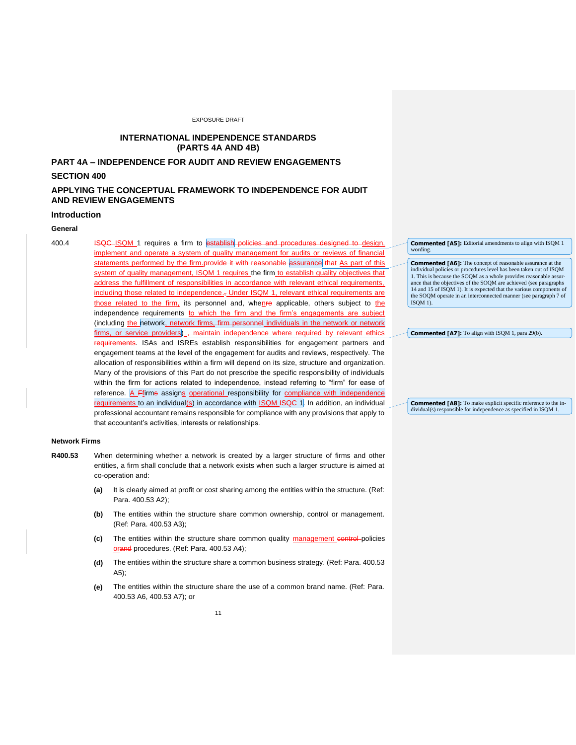# **INTERNATIONAL INDEPENDENCE STANDARDS (PARTS 4A AND 4B)**

# **PART 4A – INDEPENDENCE FOR AUDIT AND REVIEW ENGAGEMENTS**

## **SECTION 400**

# **APPLYING THE CONCEPTUAL FRAMEWORK TO INDEPENDENCE FOR AUDIT AND REVIEW ENGAGEMENTS**

### **Introduction**

# **General**

400.4 **ISQC ISQM** 1 requires a firm to establish policies and procedures designed to design, implement and operate a system of quality management for audits or reviews of financial statements performed by the firm.provide it with reasonable assurance that As part of this system of quality management, ISQM 1 requires the firm to establish quality objectives that address the fulfillment of responsibilities in accordance with relevant ethical requirements, including those related to independence.<sub>7</sub> Under ISQM 1, relevant ethical requirements are those related to the firm, its personnel and, whenre applicable, others subject to the independence requirements to which the firm and the firm's engagements are subject (including the network, network firms, firm personnel individuals in the network or network firms, or service providers), maintain independence where required by relevant eth requirements. ISAs and ISREs establish responsibilities for engagement partners and engagement teams at the level of the engagement for audits and reviews, respectively. The allocation of responsibilities within a firm will depend on its size, structure and organization. Many of the provisions of this Part do not prescribe the specific responsibility of individuals within the firm for actions related to independence, instead referring to "firm" for ease of reference. A Ffirms assigns operational responsibility for compliance with independence requirements to an individual(s) in accordance with  $ISQM$  ISQC 1. In addition, an individual professional accountant remains responsible for compliance with any provisions that apply to that accountant's activities, interests or relationships.

#### **Network Firms**

- **R400.53** When determining whether a network is created by a larger structure of firms and other entities, a firm shall conclude that a network exists when such a larger structure is aimed at co-operation and:
	- **(a)** It is clearly aimed at profit or cost sharing among the entities within the structure. (Ref: Para. 400.53 A2);
	- **(b)** The entities within the structure share common ownership, control or management. (Ref: Para. 400.53 A3);
	- (c) The entities within the structure share common quality management control-policies orand procedures. (Ref: Para. 400.53 A4);
	- **(d)** The entities within the structure share a common business strategy. (Ref: Para. 400.53 A5);
	- **(e)** The entities within the structure share the use of a common brand name. (Ref: Para. 400.53 A6, 400.53 A7); or

**Commented [A5]:** Editorial amendments to align with ISQM 1 wording

**Commented [A6]:** The concept of reasonable assurance at the individual policies or procedures level has been taken out of ISQM 1. This is because the SOQM as a whole provides reasonable assurance that the objectives of the SOQM are achieved (see paragraphs 14 and 15 of ISQM 1). It is expected that the various components of the SOQM operate in an interconnected manner (see paragraph 7 of ISQM 1).

**Commented [A7]:** To align with ISQM 1, para 29(b).

**Commented [A8]:** To make explicit specific reference to the individual(s) responsible for independence as specified in ISQM 1.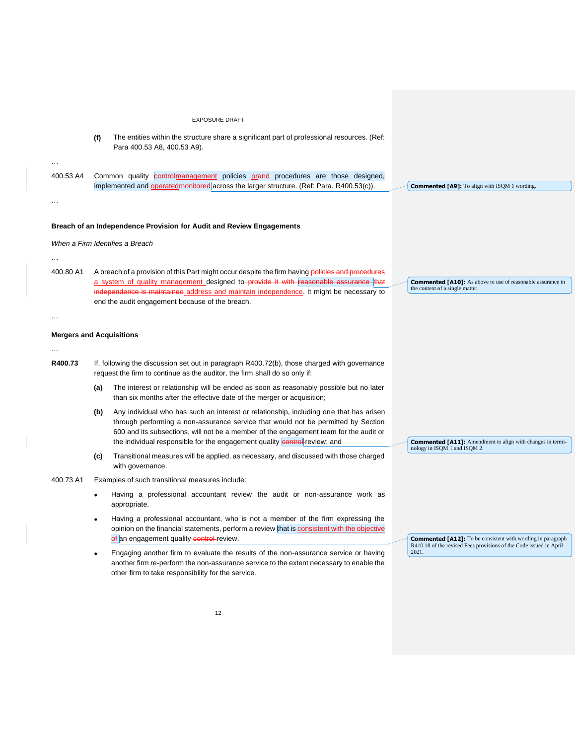|           | <b>EXPOSURE DRAFT</b>                                                                                                                                                                                                                                                                                                                                    |                                                                                                                                          |
|-----------|----------------------------------------------------------------------------------------------------------------------------------------------------------------------------------------------------------------------------------------------------------------------------------------------------------------------------------------------------------|------------------------------------------------------------------------------------------------------------------------------------------|
|           | (f)<br>The entities within the structure share a significant part of professional resources. (Ref:<br>Para 400.53 A8, 400.53 A9).                                                                                                                                                                                                                        |                                                                                                                                          |
|           |                                                                                                                                                                                                                                                                                                                                                          |                                                                                                                                          |
| 400.53 A4 | Common quality controlmanagement policies orand procedures are those designed,<br>implemented and operated monitored across the larger structure. (Ref: Para. R400.53(c)).                                                                                                                                                                               | <b>Commented [A9]:</b> To align with ISQM 1 wording.                                                                                     |
| $\cdots$  |                                                                                                                                                                                                                                                                                                                                                          |                                                                                                                                          |
|           |                                                                                                                                                                                                                                                                                                                                                          |                                                                                                                                          |
|           | Breach of an Independence Provision for Audit and Review Engagements                                                                                                                                                                                                                                                                                     |                                                                                                                                          |
|           | When a Firm Identifies a Breach                                                                                                                                                                                                                                                                                                                          |                                                                                                                                          |
| 400.80 A1 | A breach of a provision of this Part might occur despite the firm having policies and procedures<br>a system of quality management designed to-provide it with reasonable assurance that<br>independence is maintained address and maintain independence. It might be necessary to<br>end the audit engagement because of the breach.                    | <b>Commented [A10]:</b> As above re use of reasonable assurance in<br>the context of a single matter.                                    |
| $\cdots$  |                                                                                                                                                                                                                                                                                                                                                          |                                                                                                                                          |
|           | <b>Mergers and Acquisitions</b>                                                                                                                                                                                                                                                                                                                          |                                                                                                                                          |
|           |                                                                                                                                                                                                                                                                                                                                                          |                                                                                                                                          |
| R400.73   | If, following the discussion set out in paragraph R400.72(b), those charged with governance<br>request the firm to continue as the auditor, the firm shall do so only if:                                                                                                                                                                                |                                                                                                                                          |
|           | The interest or relationship will be ended as soon as reasonably possible but no later<br>(a)<br>than six months after the effective date of the merger or acquisition;                                                                                                                                                                                  |                                                                                                                                          |
|           | Any individual who has such an interest or relationship, including one that has arisen<br>(b)<br>through performing a non-assurance service that would not be permitted by Section<br>600 and its subsections, will not be a member of the engagement team for the audit or<br>the individual responsible for the engagement quality control review; and | <b>Commented [A11]:</b> Amendment to align with changes in termi-                                                                        |
|           | Transitional measures will be applied, as necessary, and discussed with those charged<br>(c)<br>with governance.                                                                                                                                                                                                                                         | nology in ISQM 1 and ISQM 2.                                                                                                             |
| 400.73 A1 | Examples of such transitional measures include:                                                                                                                                                                                                                                                                                                          |                                                                                                                                          |
|           | Having a professional accountant review the audit or non-assurance work as<br>appropriate.                                                                                                                                                                                                                                                               |                                                                                                                                          |
|           | Having a professional accountant, who is not a member of the firm expressing the<br>opinion on the financial statements, perform a review that is consistent with the objective<br>of an engagement quality control-review.                                                                                                                              | <b>Commented [A12]:</b> To be consistent with wording in paragraph<br>R410.18 of the revised Fees provisions of the Code issued in April |
|           | Engaging another firm to evaluate the results of the non-assurance service or having<br>another firm re-perform the non-assurance service to the extent necessary to enable the<br>other firm to take responsibility for the service.                                                                                                                    | 2021.                                                                                                                                    |
|           | 12                                                                                                                                                                                                                                                                                                                                                       |                                                                                                                                          |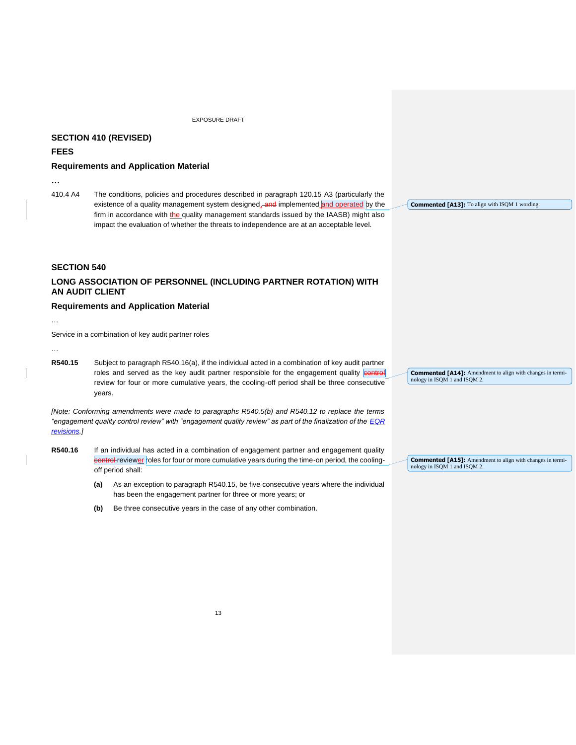# **SECTION 410 (REVISED)**

#### **FEES**

## **Requirements and Application Material**

**…**

410.4 A4 The conditions, policies and procedures described in paragraph 120.15 A3 (particularly the existence of a quality management system designed, and implemented and operated by the firm in accordance with the quality management standards issued by the IAASB) might also impact the evaluation of whether the threats to independence are at an acceptable level.

**SECTION 540**

# **LONG ASSOCIATION OF PERSONNEL (INCLUDING PARTNER ROTATION) WITH AN AUDIT CLIENT**

## **Requirements and Application Material**

…

Service in a combination of key audit partner roles

…

**R540.15** Subject to paragraph R540.16(a), if the individual acted in a combination of key audit partner roles and served as the key audit partner responsible for the engagement quality control review for four or more cumulative years, the cooling-off period shall be three consecutive years.

*[Note: Conforming amendments were made to paragraphs R540.5(b) and R540.12 to replace the terms "engagement quality control review" with "engagement quality review" as part of the finalization of the [EQR](https://www.ifac.org/system/files/publications/files/Final-Pronouncement-Objectivity-of-Engagement-Quality-Reviewer-and-Other-Appropriate-Reviewers.pdf)  [revisions.](https://www.ifac.org/system/files/publications/files/Final-Pronouncement-Objectivity-of-Engagement-Quality-Reviewer-and-Other-Appropriate-Reviewers.pdf)]*

- **R540.16** If an individual has acted in a combination of engagement partner and engagement quality control reviewer roles for four or more cumulative years during the time-on period, the coolingoff period shall:
	- **(a)** As an exception to paragraph R540.15, be five consecutive years where the individual has been the engagement partner for three or more years; or
	- **(b)** Be three consecutive years in the case of any other combination.

**Commented [A13]:** To align with ISQM 1 wording.

**Commented [A14]:** Amendment to align with changes in terminology in ISQM 1 and ISQM 2.

**Commented [A15]:** Amendment to align with changes in terminology in ISQM 1 and ISQM 2.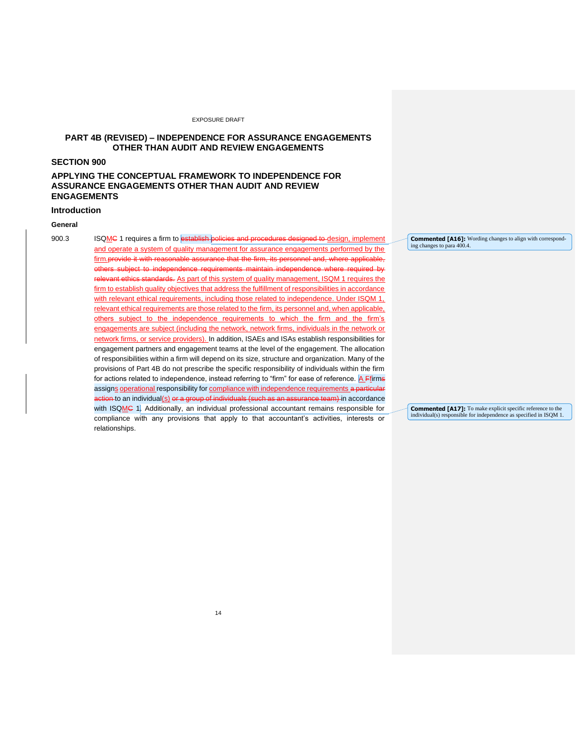# **PART 4B (REVISED) – INDEPENDENCE FOR ASSURANCE ENGAGEMENTS OTHER THAN AUDIT AND REVIEW ENGAGEMENTS**

# **SECTION 900**

# **APPLYING THE CONCEPTUAL FRAMEWORK TO INDEPENDENCE FOR ASSURANCE ENGAGEMENTS OTHER THAN AUDIT AND REVIEW ENGAGEMENTS**

# **Introduction**

## **General**

900.3 ISQMC 1 requires a firm to establish policies and procedures designed to design, implement and operate a system of quality management for assurance engagements performed by the firm.provide it with reasonable assurance that the firm, its personnel and, where applicable, others subject to independence requirements maintain independence where required by relevant ethics standards*.* As part of this system of quality management, ISQM 1 requires the firm to establish quality objectives that address the fulfillment of responsibilities in accordance with relevant ethical requirements, including those related to independence. Under ISQM 1, relevant ethical requirements are those related to the firm, its personnel and, when applicable, others subject to the independence requirements to which the firm and the firm's engagements are subject (including the network, network firms, individuals in the network or network firms, or service providers). In addition, ISAEs and ISAs establish responsibilities for engagement partners and engagement teams at the level of the engagement. The allocation of responsibilities within a firm will depend on its size, structure and organization. Many of the provisions of Part 4B do not prescribe the specific responsibility of individuals within the firm for actions related to independence, instead referring to "firm" for ease of reference. A Ffirms assigns operational responsibility for compliance with independence requirements a particular action to an individual<u>(s)</u> o<del>r a group of individuals (such as an assurance team) i</del>n accordance with ISQMC 1. Additionally, an individual professional accountant remains responsible for compliance with any provisions that apply to that accountant's activities, interests or relationships.

**Commented [A16]:** Wording changes to align with corresponding changes to para 400.4.

**Commented [A17]:** To make explicit specific reference to the individual(s) responsible for independence as specified in ISQM 1.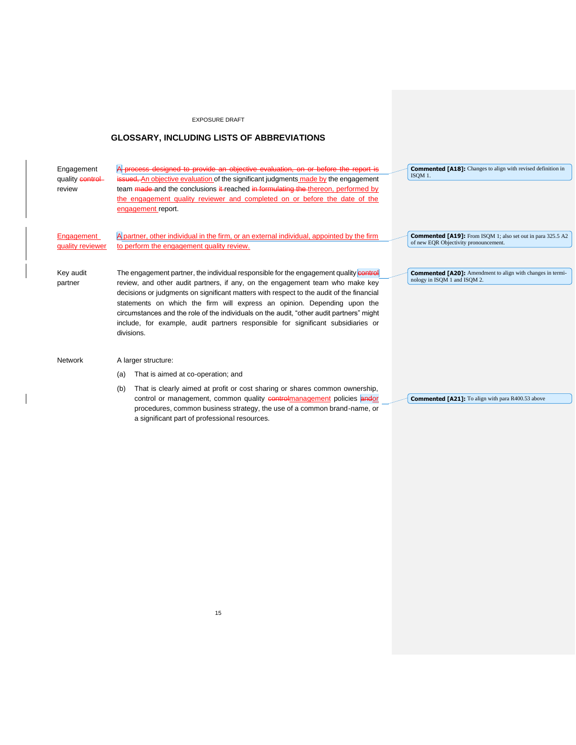## **GLOSSARY, INCLUDING LISTS OF ABBREVIATIONS**

Engagement quality control review designed to provide an objective evaluation, on or before the report is **Eued, An objective evaluation of the significant judgments made by the engagement** team made and the conclusions it reached in formulating the thereon, performed by the engagement quality reviewer and completed on or before the date of the engagement report. Engagement quality reviewer A partner, other individual in the firm, or an external individual, appointed by the firm to perform the engagement quality review. Key audit partner The engagement partner, the individual responsible for the engagement quality control review, and other audit partners, if any, on the engagement team who make key decisions or judgments on significant matters with respect to the audit of the financial statements on which the firm will express an opinion. Depending upon the circumstances and the role of the individuals on the audit, "other audit partners" might include, for example, audit partners responsible for significant subsidiaries or divisions. Network A larger structure: (a) That is aimed at co-operation; and (b) That is clearly aimed at profit or cost sharing or shares common ownership, control or management, common quality controlmanagement policies andor procedures, common business strategy, the use of a common brand-name, or **Commented [A18]:** Changes to align with revised definition in ISQM 1. **Commented [A19]:** From ISQM 1; also set out in para 325.5 A2 of new EQR Objectivity pronouncement. **Commented [A20]:** Amendment to align with changes in termi-nology in ISQM 1 and ISQM 2. **Commented [A21]:** To align with para R400.53 above

a significant part of professional resources.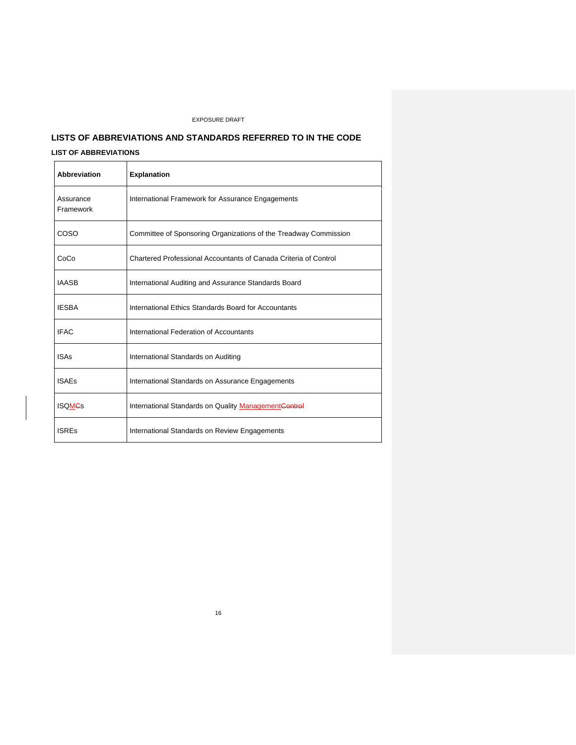# **LISTS OF ABBREVIATIONS AND STANDARDS REFERRED TO IN THE CODE LIST OF ABBREVIATIONS**

| Abbreviation           | <b>Explanation</b>                                               |
|------------------------|------------------------------------------------------------------|
| Assurance<br>Framework | International Framework for Assurance Engagements                |
| COSO                   | Committee of Sponsoring Organizations of the Treadway Commission |
| CoCo                   | Chartered Professional Accountants of Canada Criteria of Control |
| <b>IAASB</b>           | International Auditing and Assurance Standards Board             |
| <b>IESBA</b>           | International Ethics Standards Board for Accountants             |
| <b>IFAC</b>            | International Federation of Accountants                          |
| <b>ISAs</b>            | International Standards on Auditing                              |
| <b>ISAEs</b>           | International Standards on Assurance Engagements                 |
| <b>ISQMCs</b>          | International Standards on Quality ManagementControl             |
| <b>ISREs</b>           | International Standards on Review Engagements                    |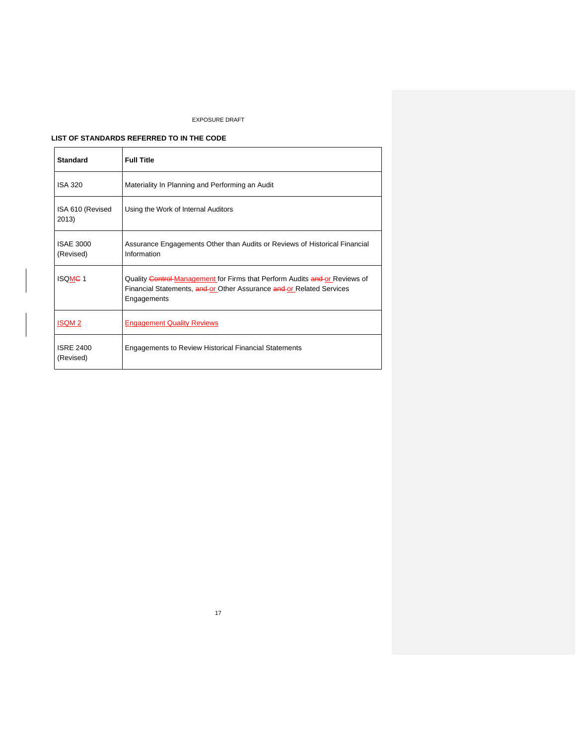# **LIST OF STANDARDS REFERRED TO IN THE CODE**

| <b>Standard</b>               | <b>Full Title</b>                                                                                                                                                 |
|-------------------------------|-------------------------------------------------------------------------------------------------------------------------------------------------------------------|
| <b>ISA 320</b>                | Materiality In Planning and Performing an Audit                                                                                                                   |
| ISA 610 (Revised<br>2013)     | Using the Work of Internal Auditors                                                                                                                               |
| <b>ISAE 3000</b><br>(Revised) | Assurance Engagements Other than Audits or Reviews of Historical Financial<br>Information                                                                         |
| <b>ISQMC1</b>                 | Quality Control Management for Firms that Perform Audits and or Reviews of<br>Financial Statements, and or Other Assurance and or Related Services<br>Engagements |
| <b>ISQM2</b>                  | <b>Engagement Quality Reviews</b>                                                                                                                                 |
| <b>ISRE 2400</b><br>(Revised) | <b>Engagements to Review Historical Financial Statements</b>                                                                                                      |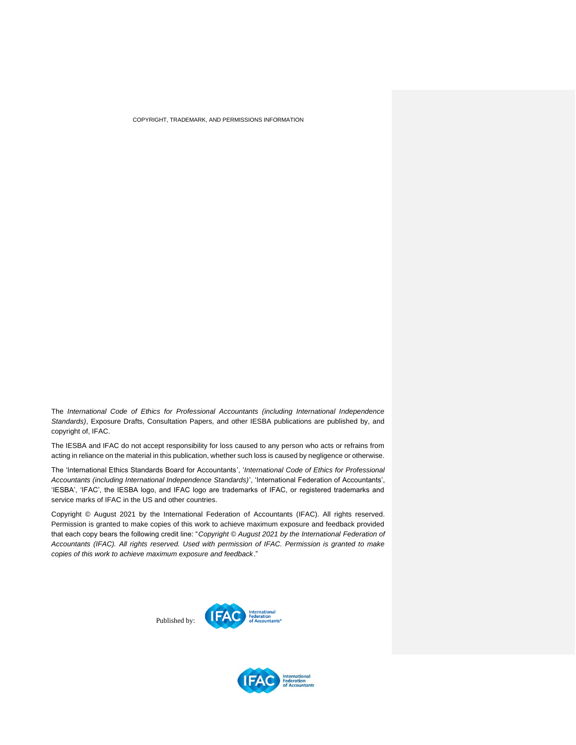COPYRIGHT, TRADEMARK, AND PERMISSIONS INFORMATION

<span id="page-17-0"></span>The *International Code of Ethics for Professional Accountants (including International Independence Standards)*, Exposure Drafts, Consultation Papers, and other IESBA publications are published by, and copyright of, IFAC.

The IESBA and IFAC do not accept responsibility for loss caused to any person who acts or refrains from acting in reliance on the material in this publication, whether such loss is caused by negligence or otherwise.

The 'International Ethics Standards Board for Accountants', '*International Code of Ethics for Professional Accountants (including International Independence Standards)*', 'International Federation of Accountants', 'IESBA', 'IFAC', the IESBA logo, and IFAC logo are trademarks of IFAC, or registered trademarks and service marks of IFAC in the US and other countries.

Copyright © August 2021 by the International Federation of Accountants (IFAC). All rights reserved. Permission is granted to make copies of this work to achieve maximum exposure and feedback provided that each copy bears the following credit line: "*Copyright © August 2021 by the International Federation of Accountants (IFAC). All rights reserved. Used with permission of IFAC. Permission is granted to make copies of this work to achieve maximum exposure and feedback*."

Published by: